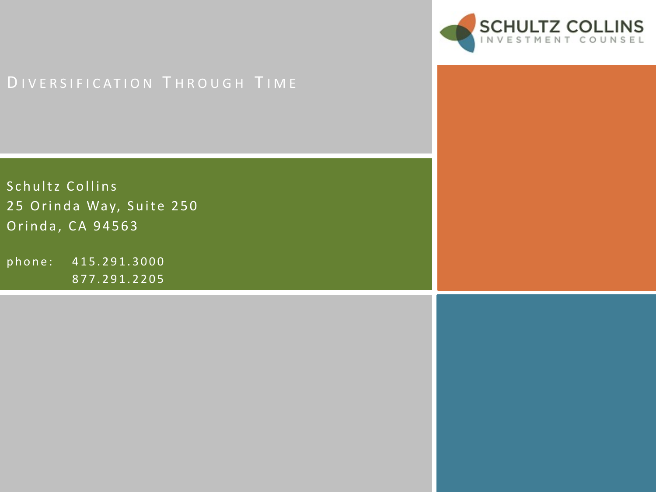

# DIVERSIFICATION THROUGH TIME

Schultz Collins 25 Orinda Way, Suite 250 Orinda, CA 94563

phone: 415.291.3000 877.291.2205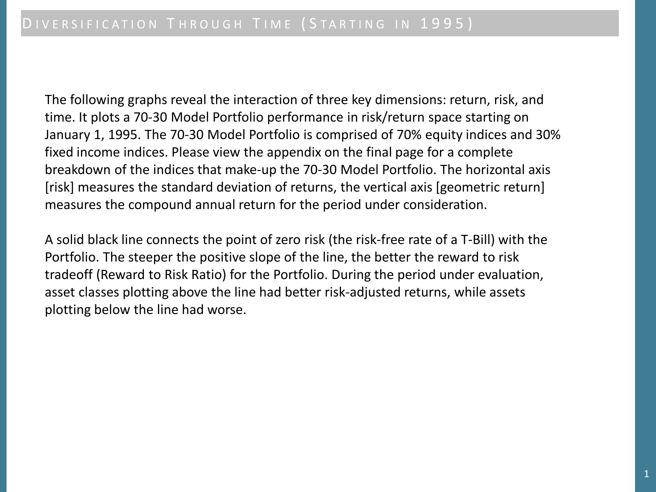The following graphs reveal the interaction of three key dimensions: return, risk, and time. It plots a 70-30 Model Portfolio performance in risk/return space starting on January 1, 1995. The 70-30 Model Portfolio is comprised of 70% equity indices and 30% fixed income indices. Please view the appendix on the final page for a complete breakdown of the indices that make-up the 70-30 Model Portfolio. The horizontal axis [risk] measures the standard deviation of returns, the vertical axis [geometric return] measures the compound annual return for the period under consideration.

A solid black line connects the point of zero risk (the risk-free rate of a T-Bill) with the Portfolio. The steeper the positive slope of the line, the better the reward to risk tradeoff (Reward to Risk Ratio) for the Portfolio. During the period under evaluation, asset classes plotting above the line had better risk-adjusted returns, while assets plotting below the line had worse.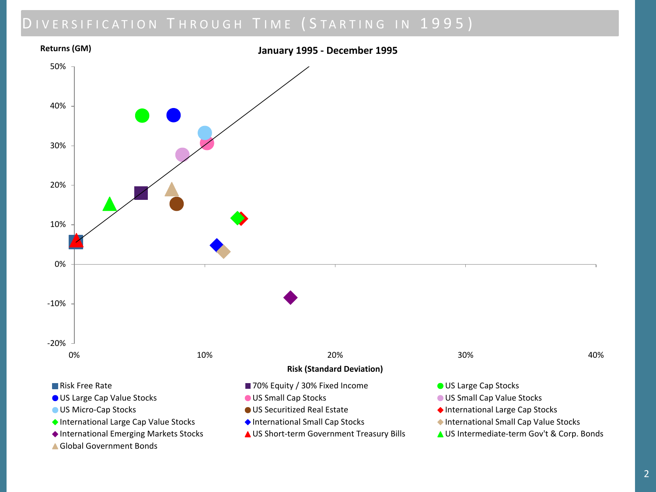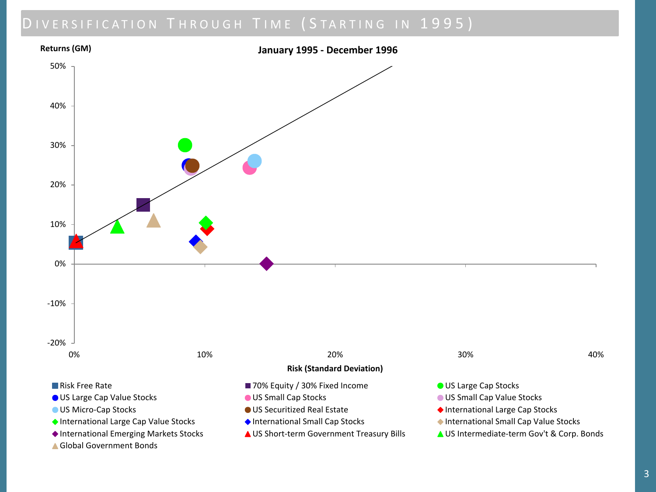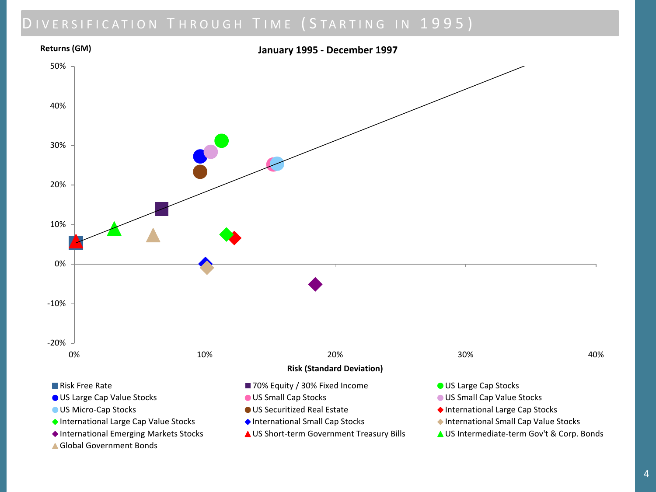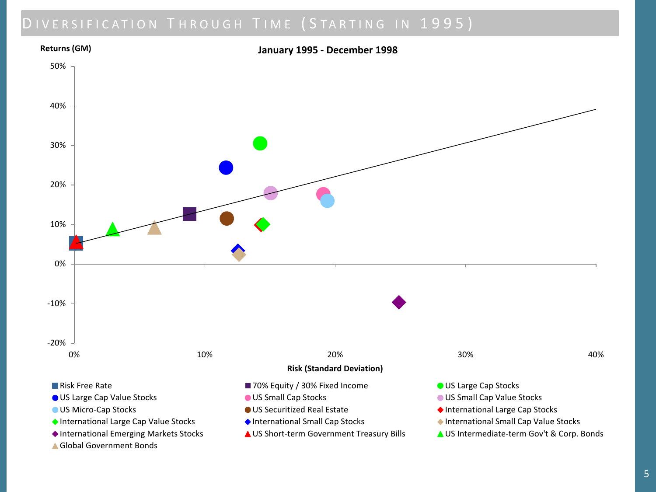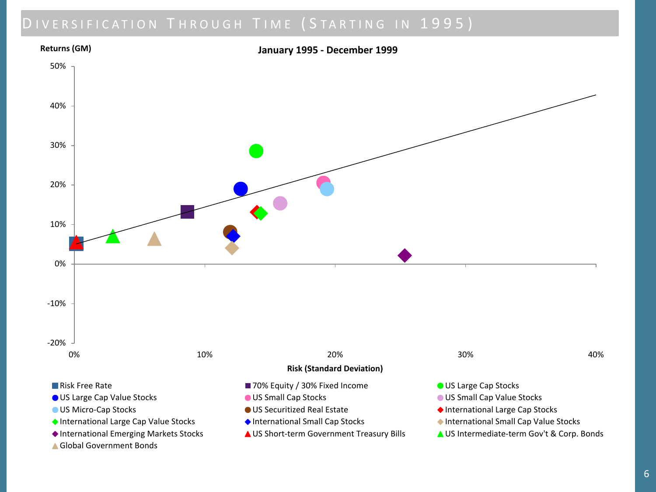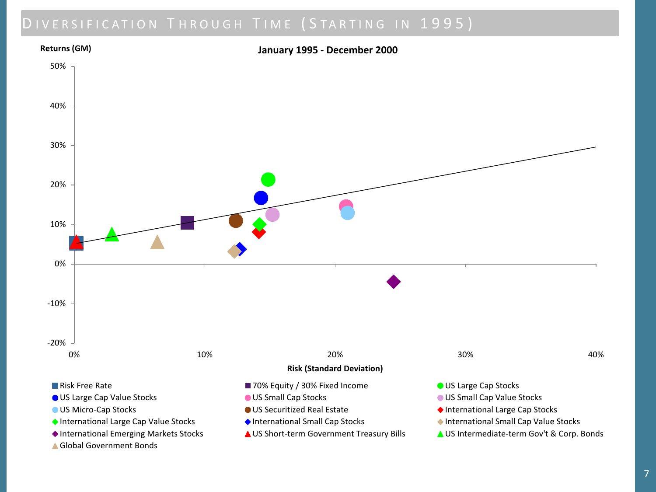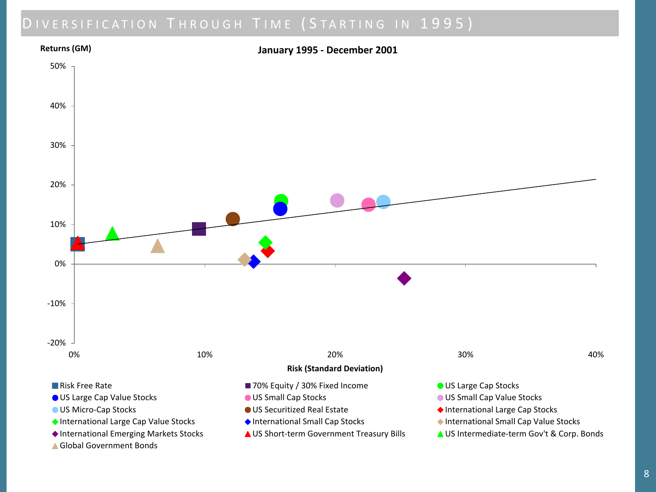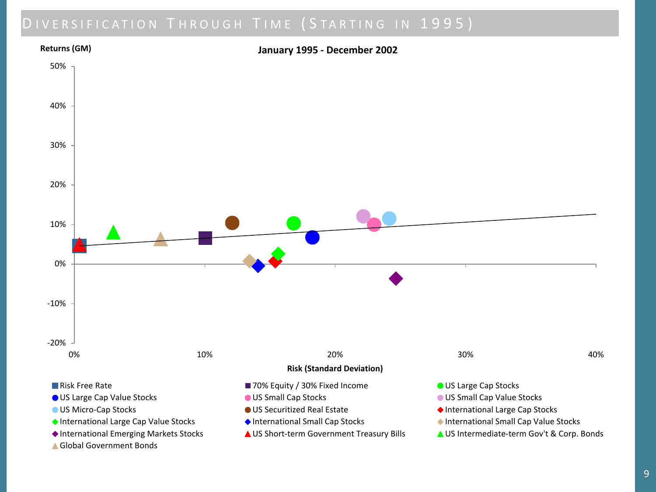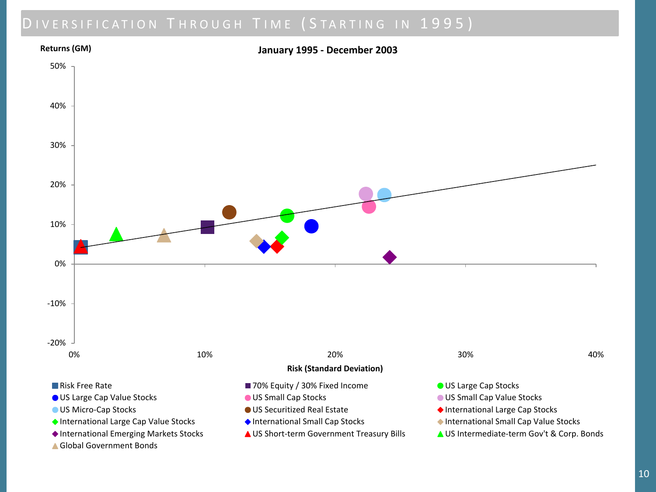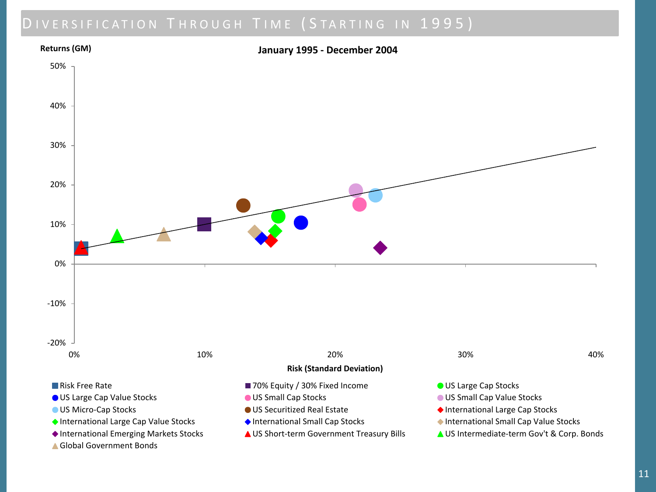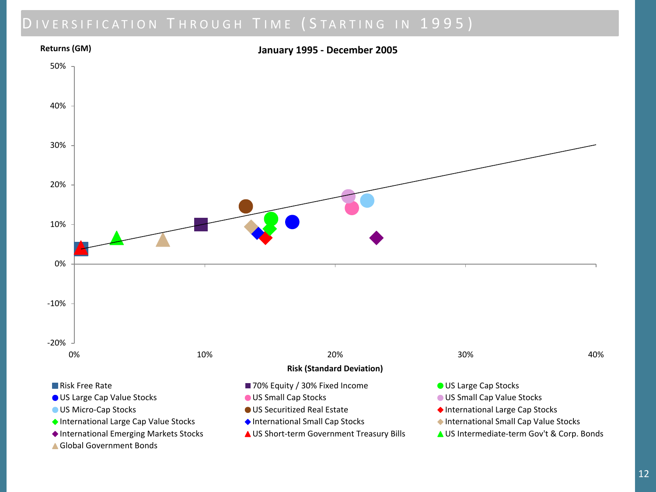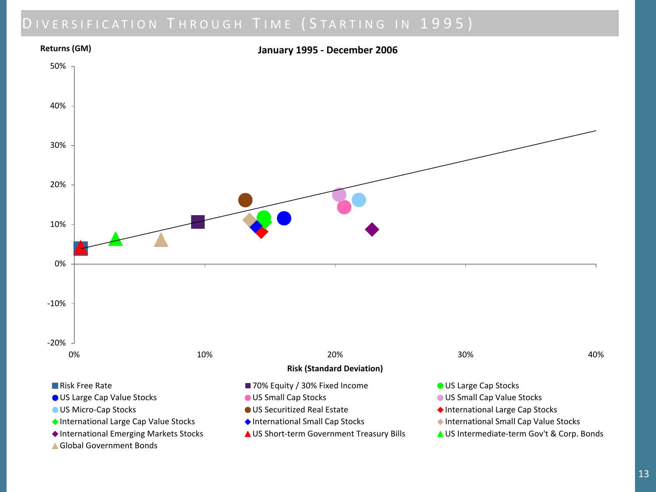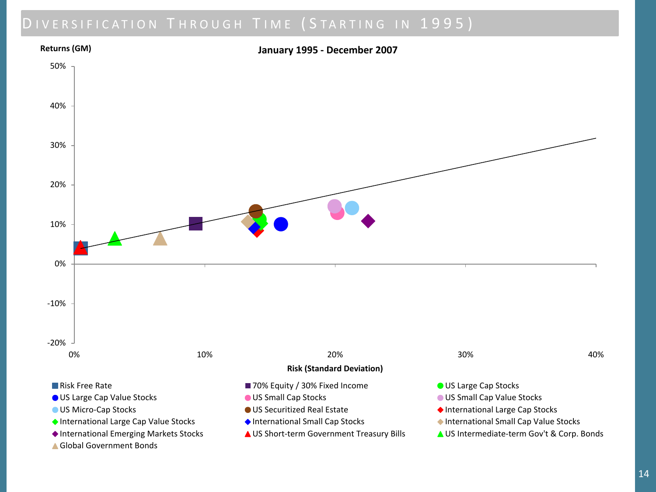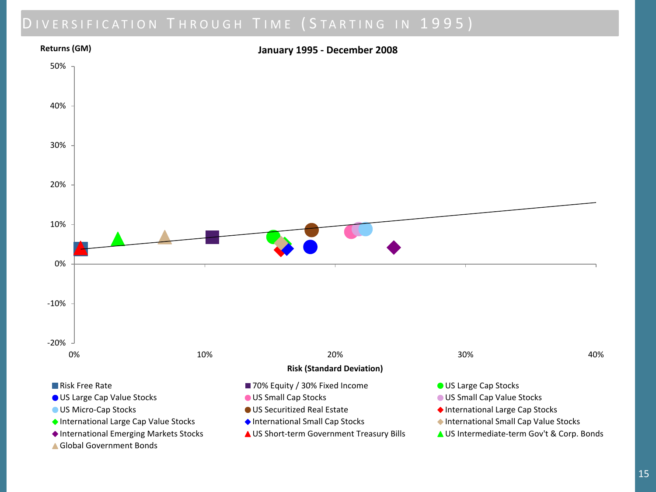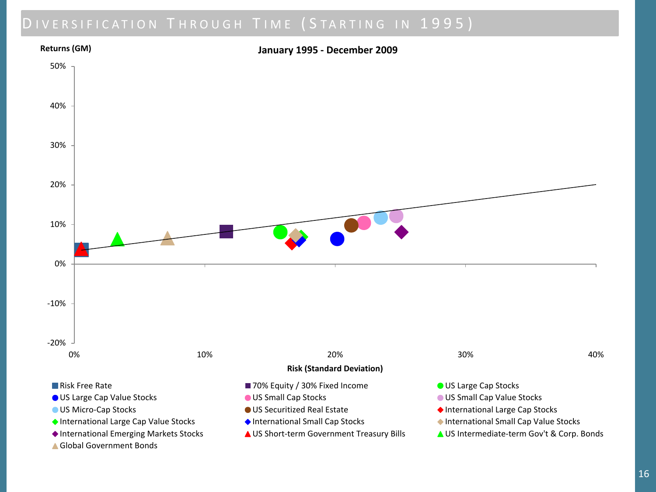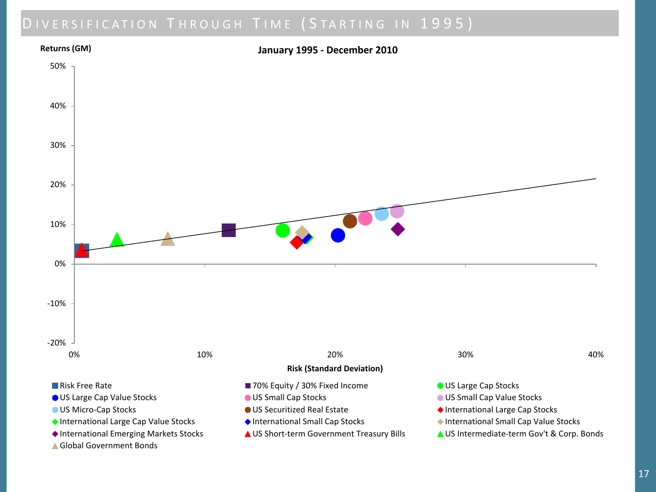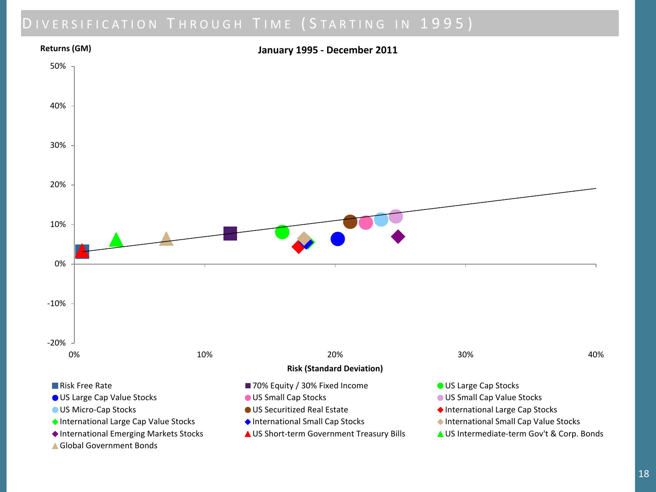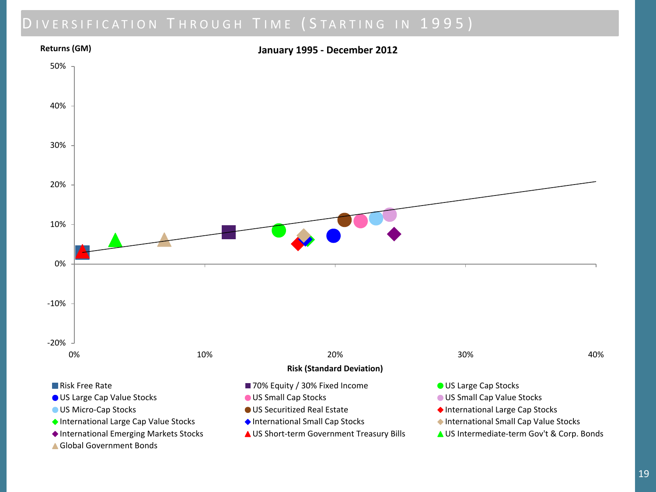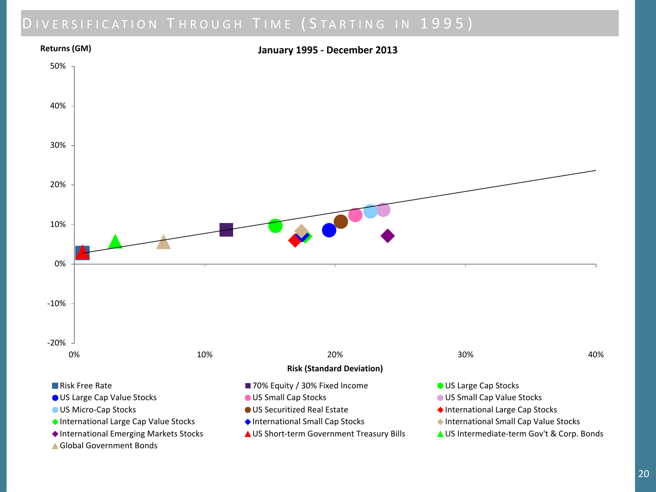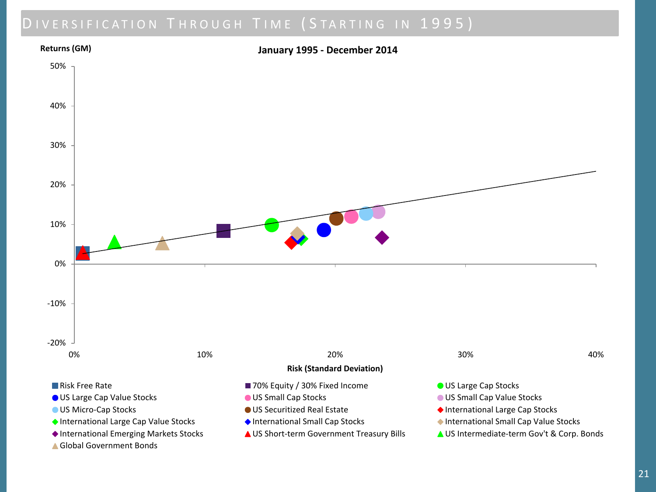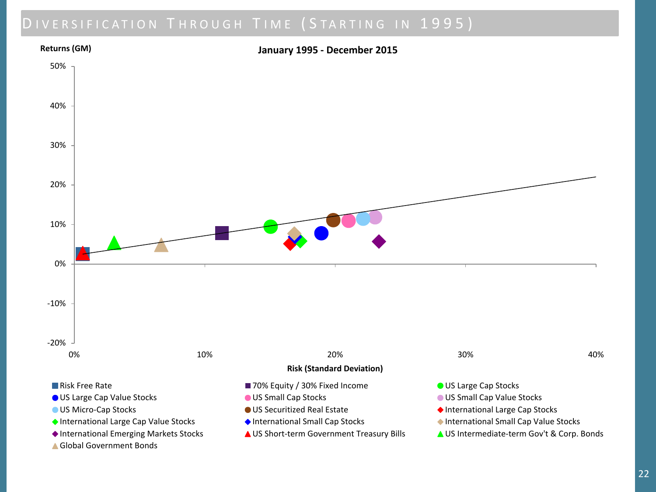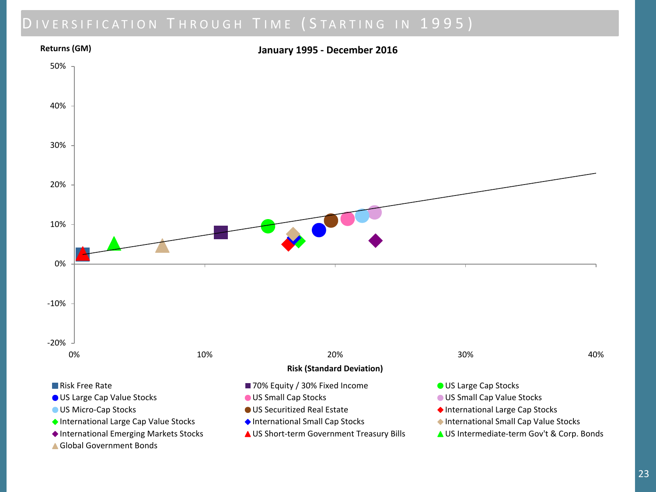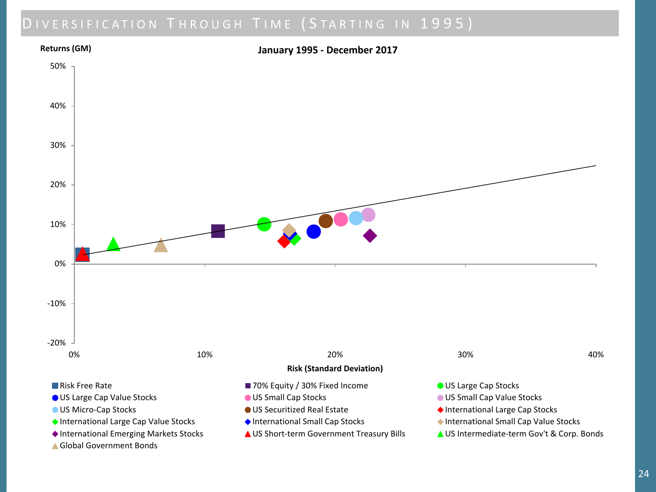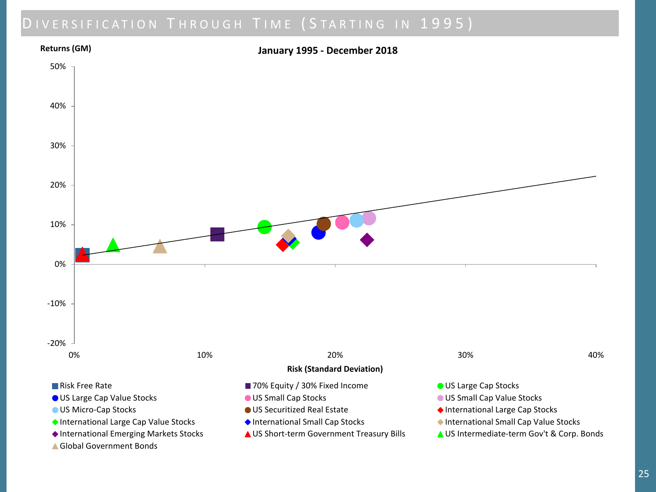

25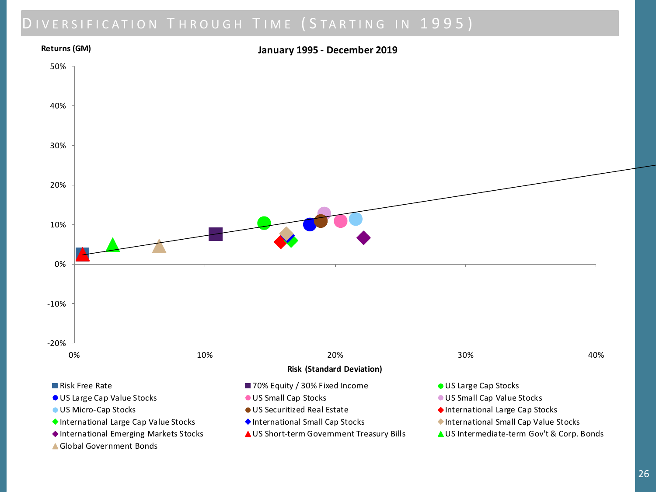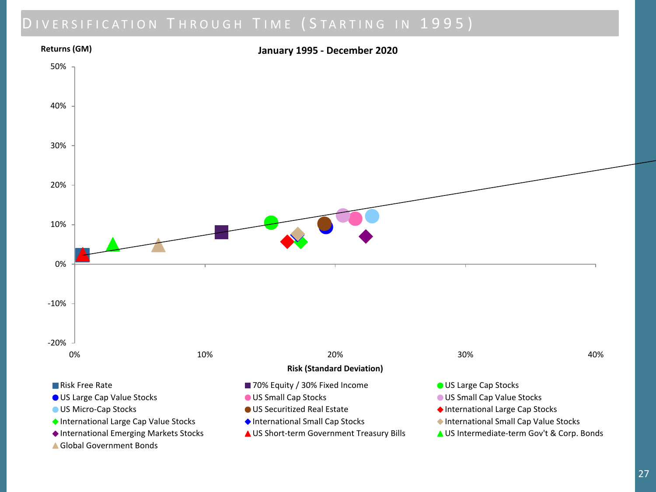

27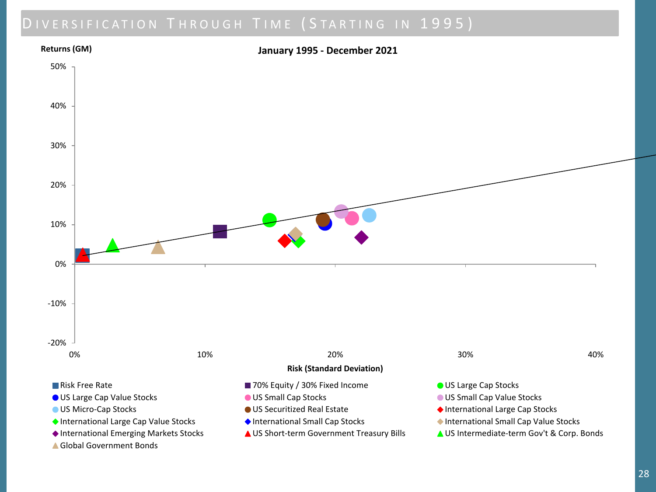

Global Government Bonds

28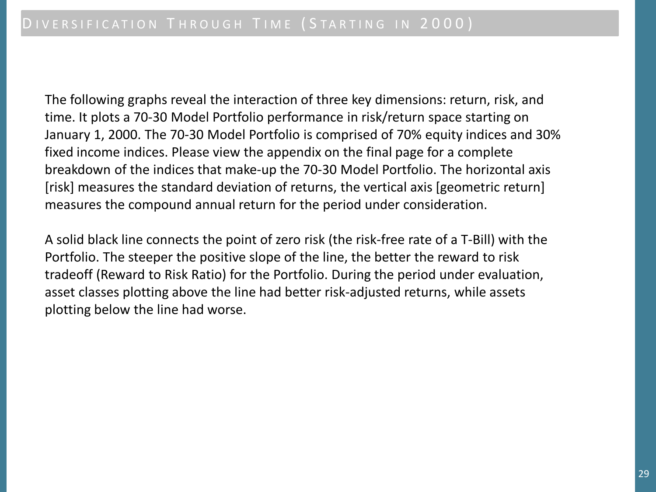The following graphs reveal the interaction of three key dimensions: return, risk, and time. It plots a 70-30 Model Portfolio performance in risk/return space starting on January 1, 2000. The 70-30 Model Portfolio is comprised of 70% equity indices and 30% fixed income indices. Please view the appendix on the final page for a complete breakdown of the indices that make-up the 70-30 Model Portfolio. The horizontal axis [risk] measures the standard deviation of returns, the vertical axis [geometric return] measures the compound annual return for the period under consideration.

A solid black line connects the point of zero risk (the risk-free rate of a T-Bill) with the Portfolio. The steeper the positive slope of the line, the better the reward to risk tradeoff (Reward to Risk Ratio) for the Portfolio. During the period under evaluation, asset classes plotting above the line had better risk-adjusted returns, while assets plotting below the line had worse.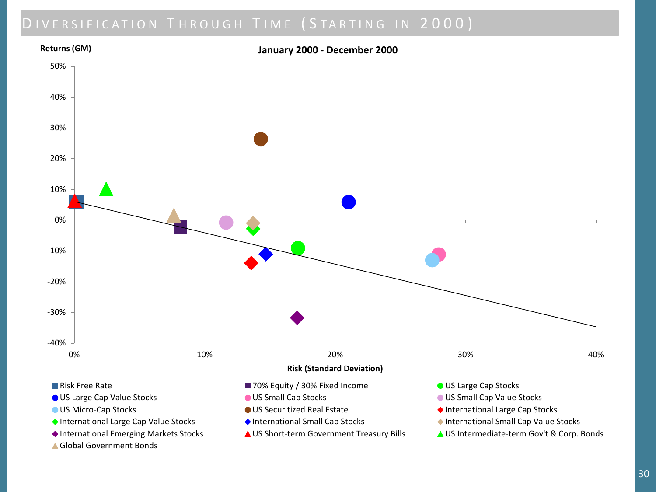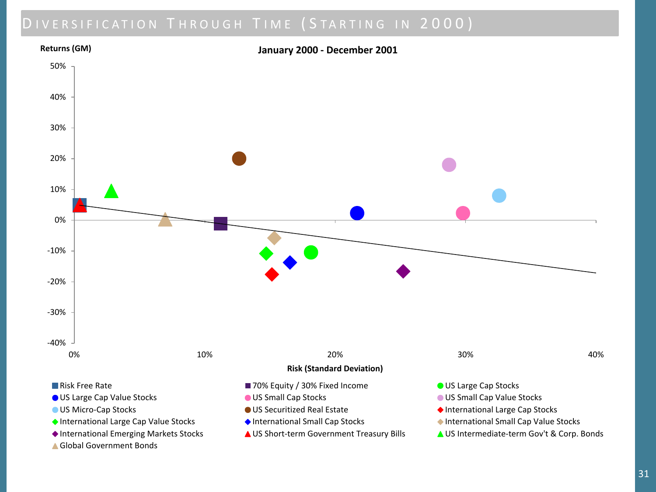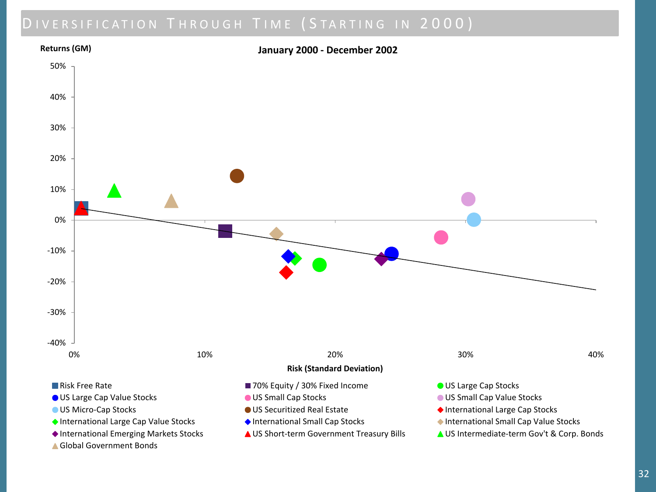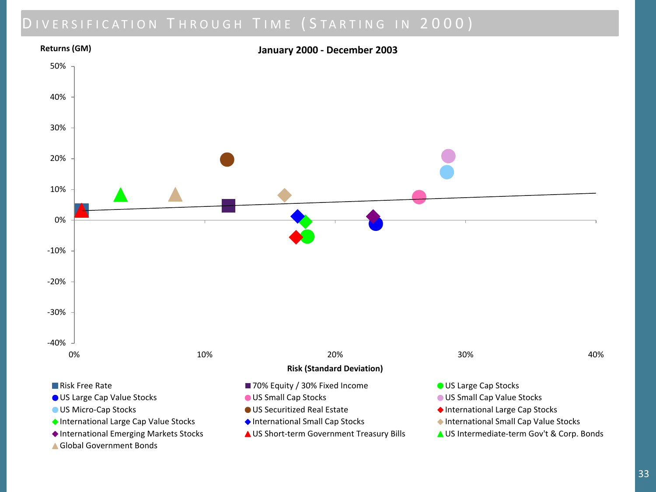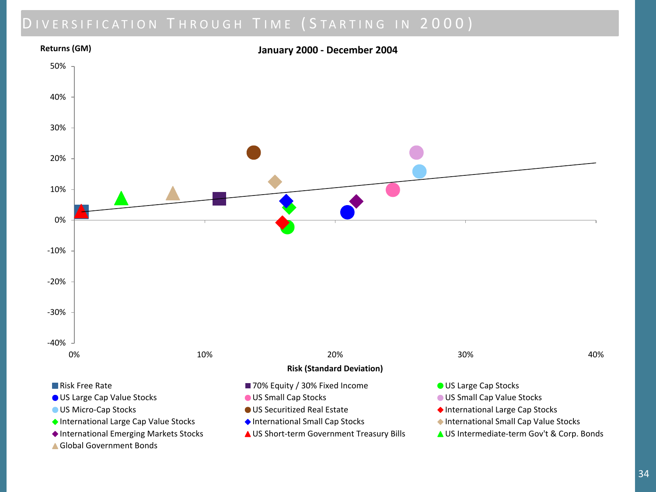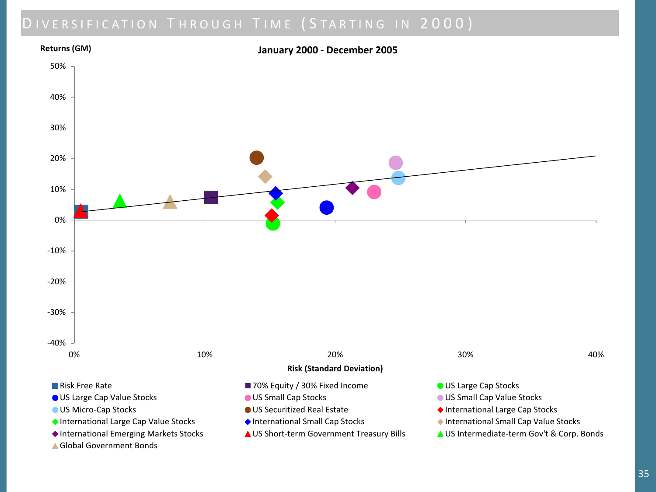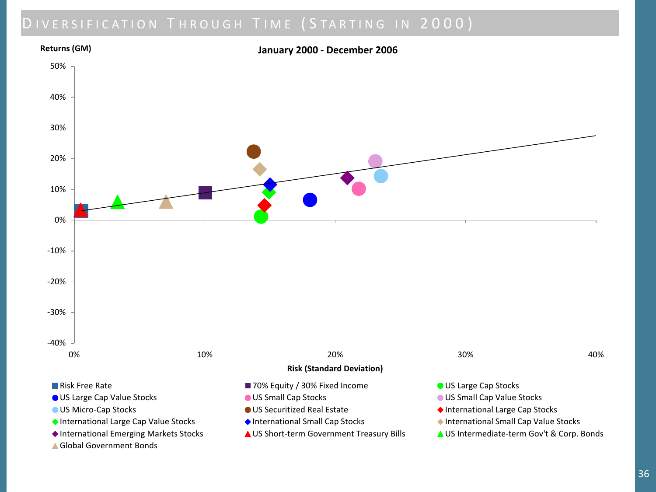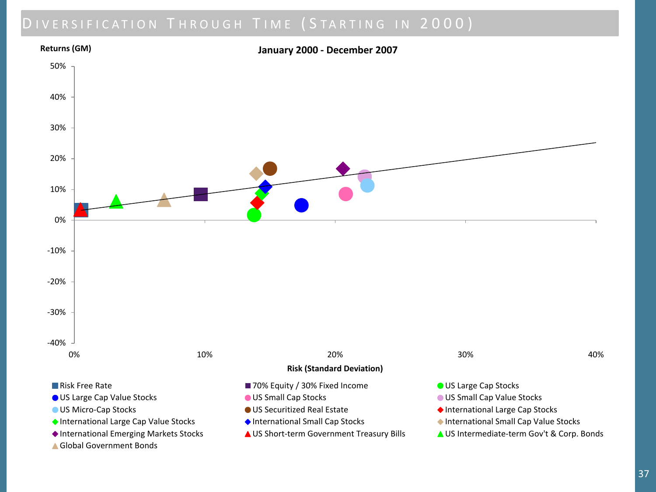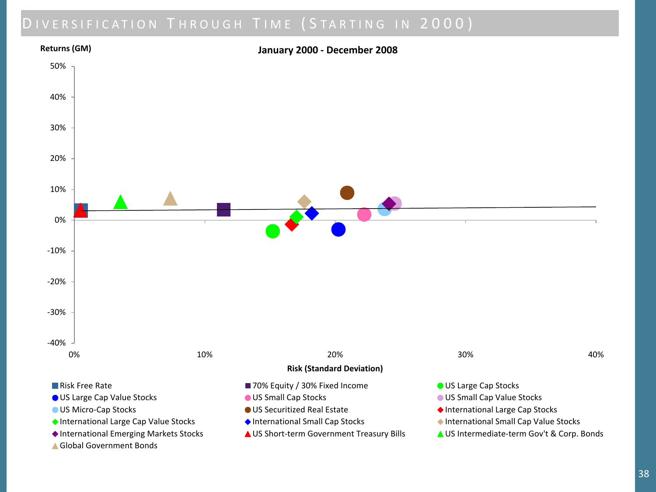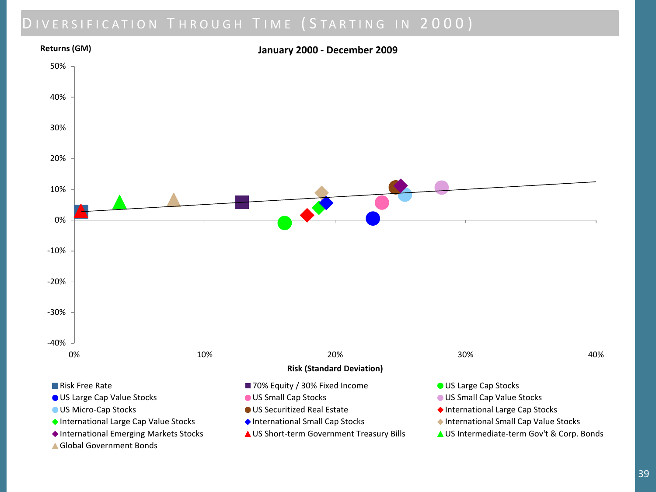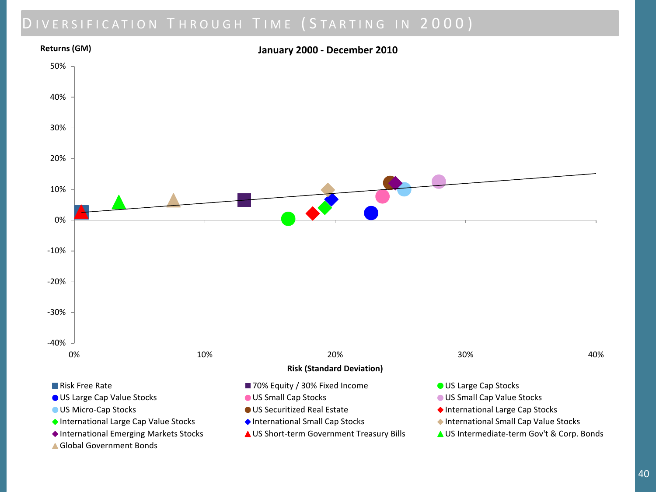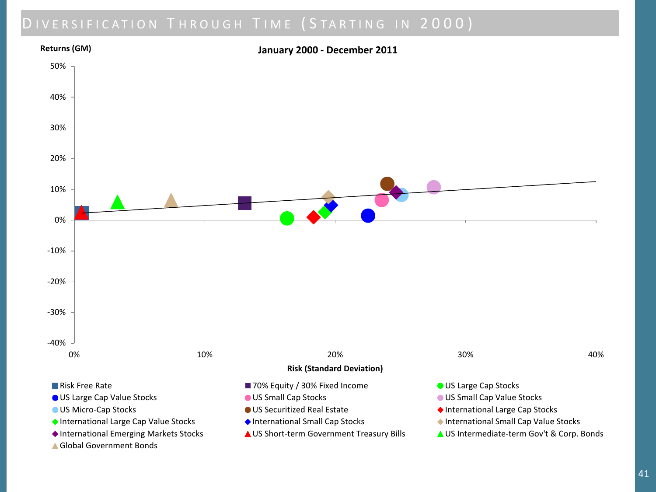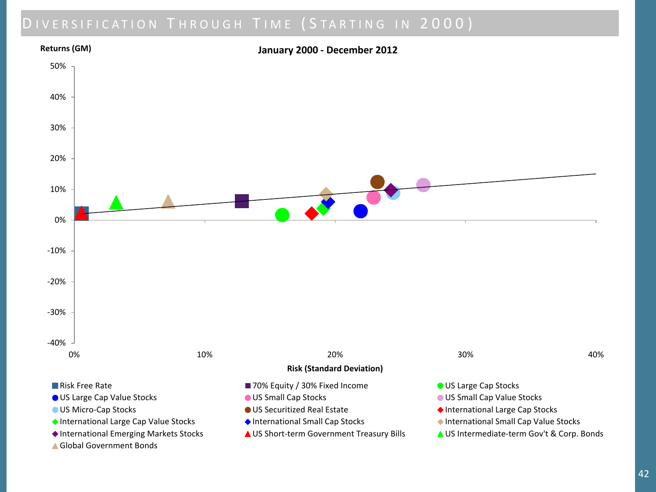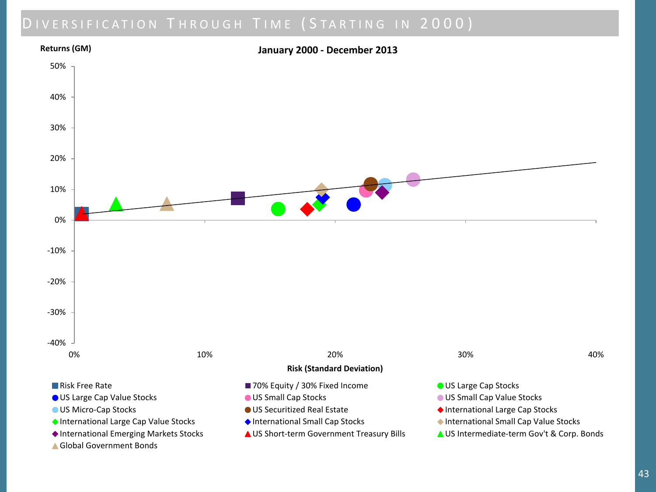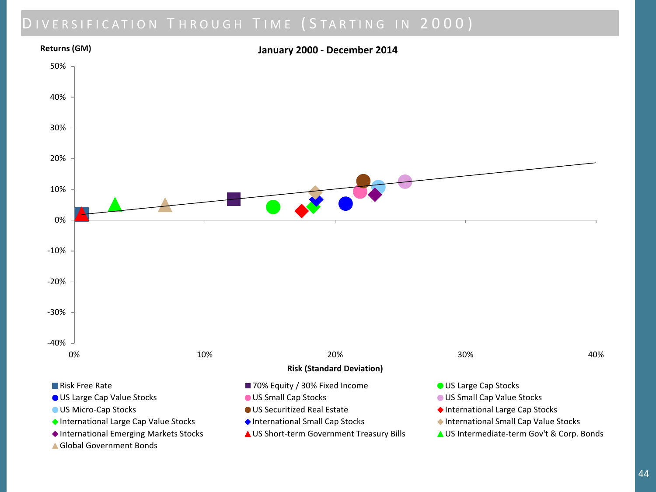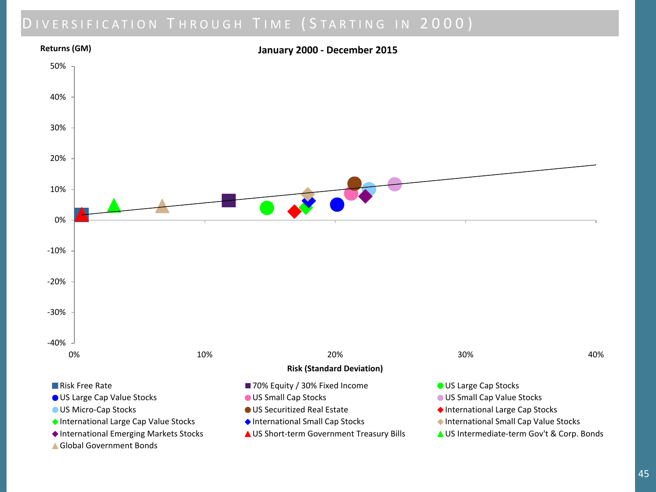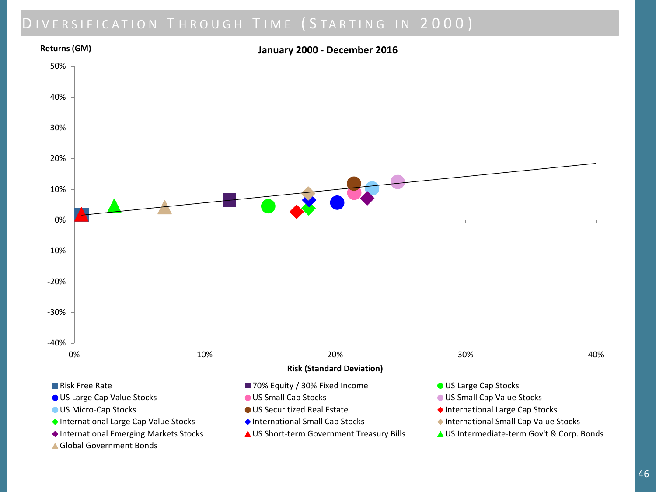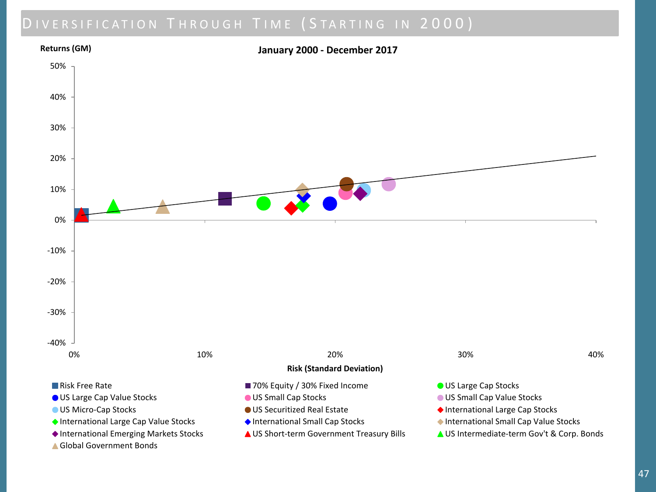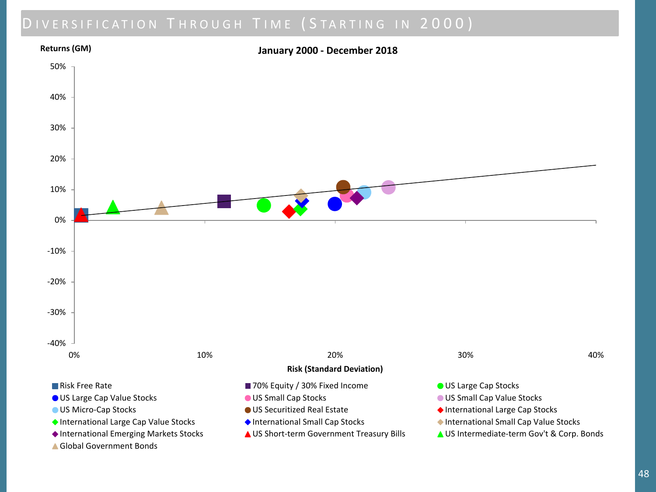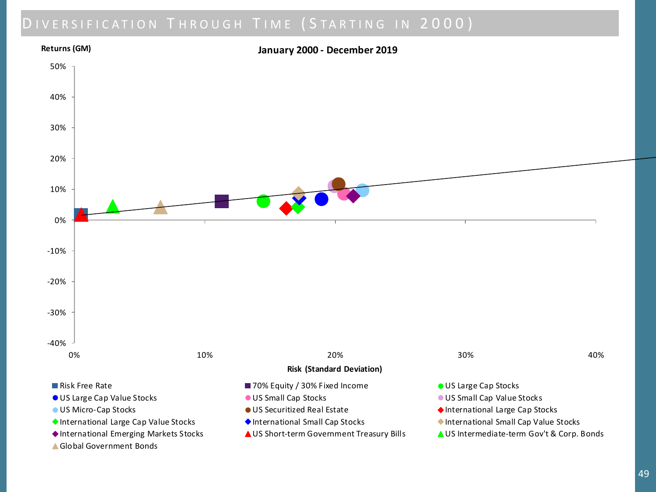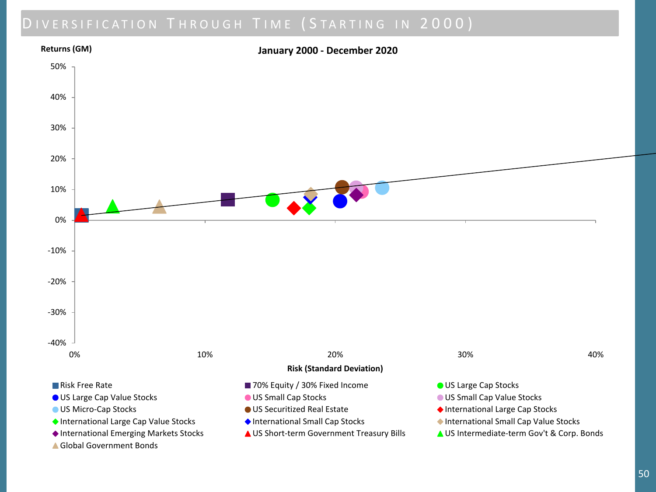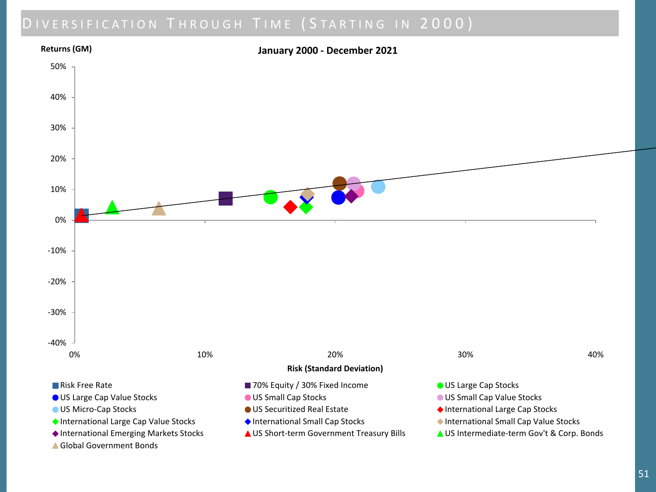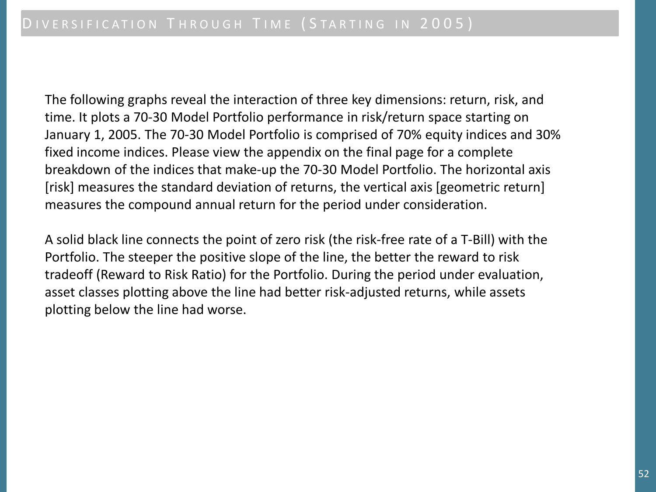The following graphs reveal the interaction of three key dimensions: return, risk, and time. It plots a 70-30 Model Portfolio performance in risk/return space starting on January 1, 2005. The 70-30 Model Portfolio is comprised of 70% equity indices and 30% fixed income indices. Please view the appendix on the final page for a complete breakdown of the indices that make-up the 70-30 Model Portfolio. The horizontal axis [risk] measures the standard deviation of returns, the vertical axis [geometric return] measures the compound annual return for the period under consideration.

A solid black line connects the point of zero risk (the risk-free rate of a T-Bill) with the Portfolio. The steeper the positive slope of the line, the better the reward to risk tradeoff (Reward to Risk Ratio) for the Portfolio. During the period under evaluation, asset classes plotting above the line had better risk-adjusted returns, while assets plotting below the line had worse.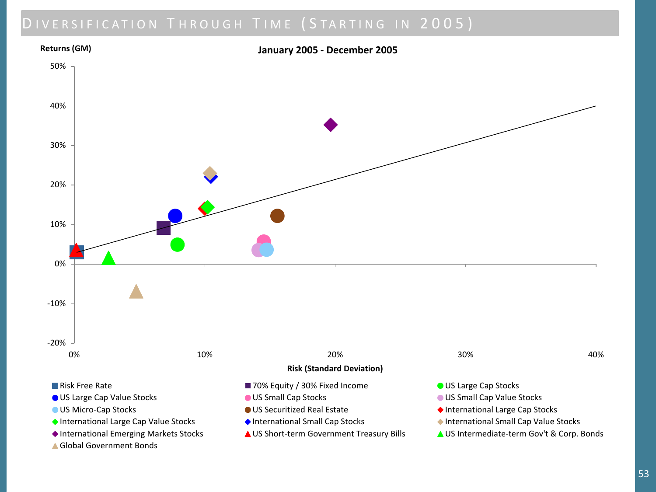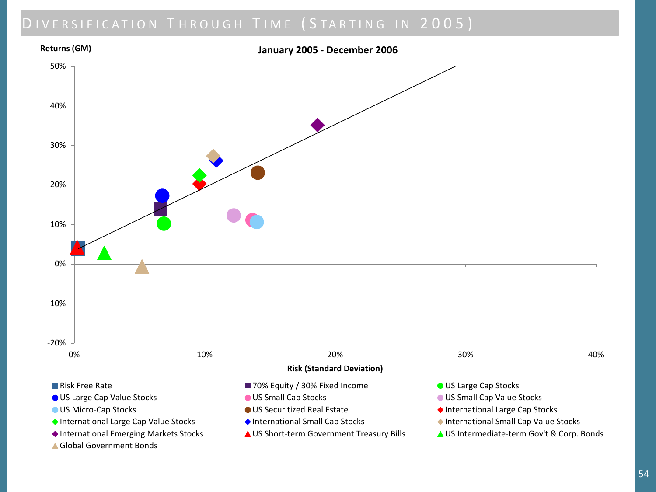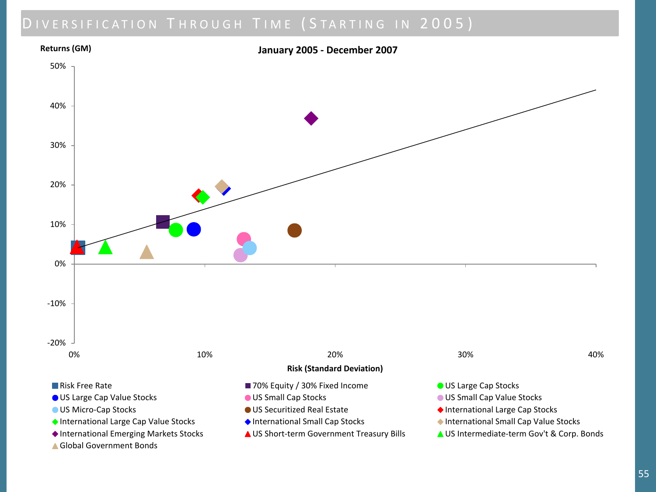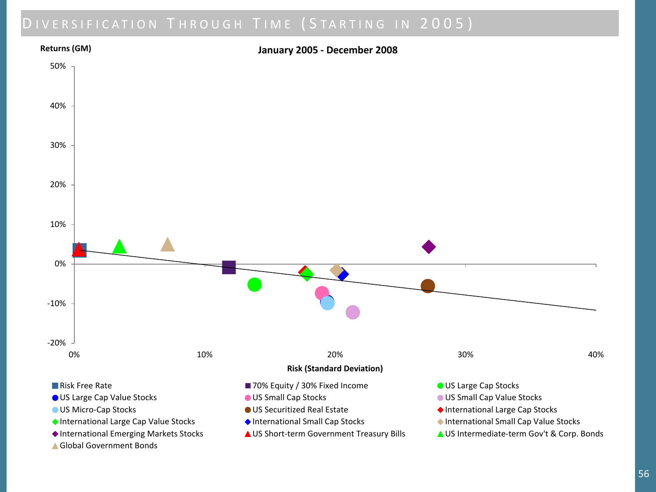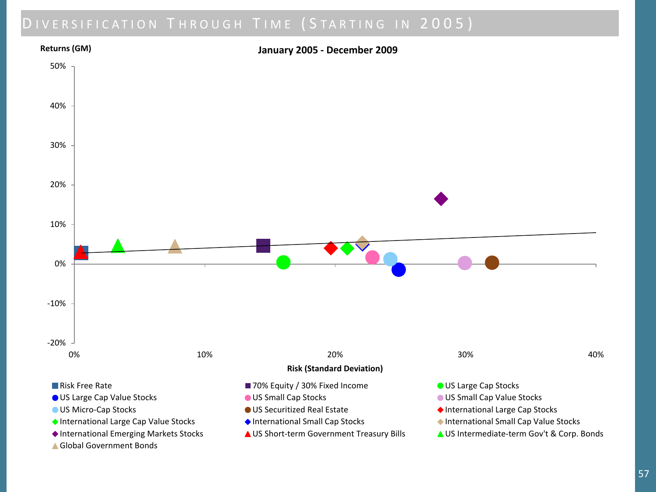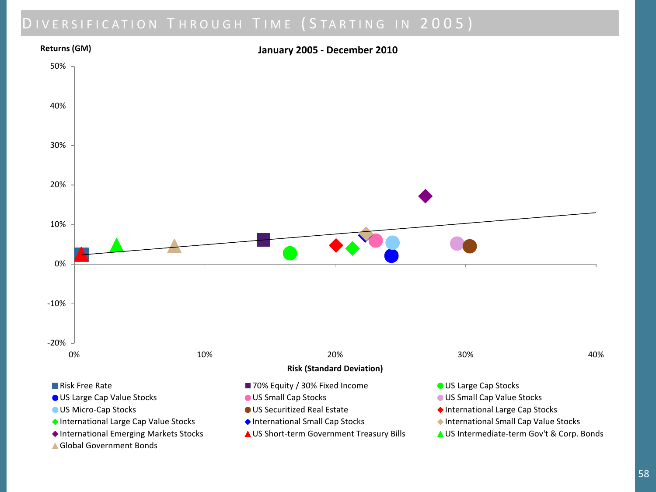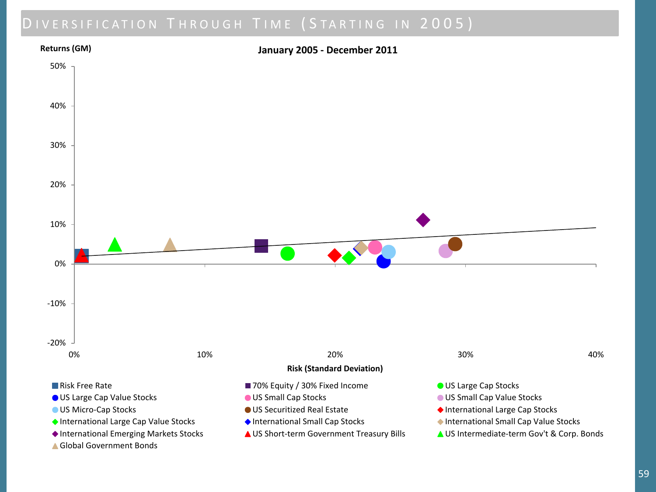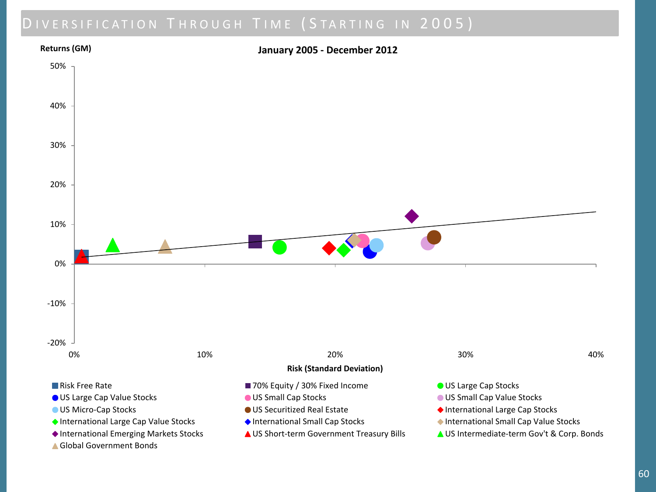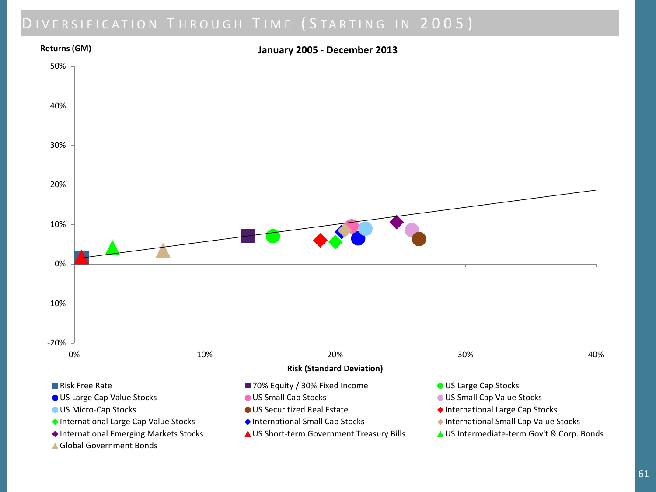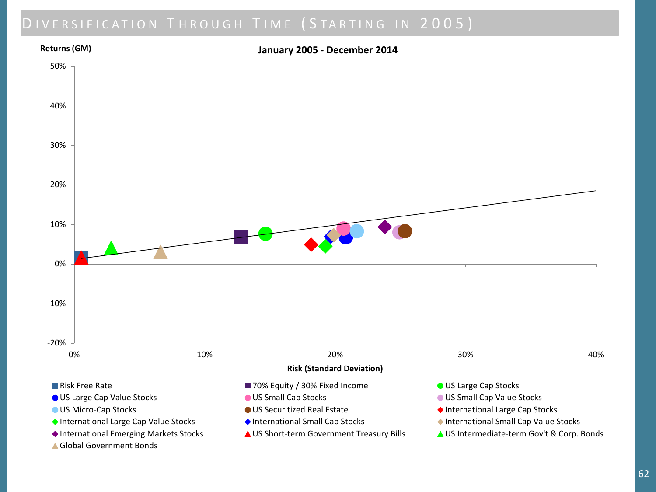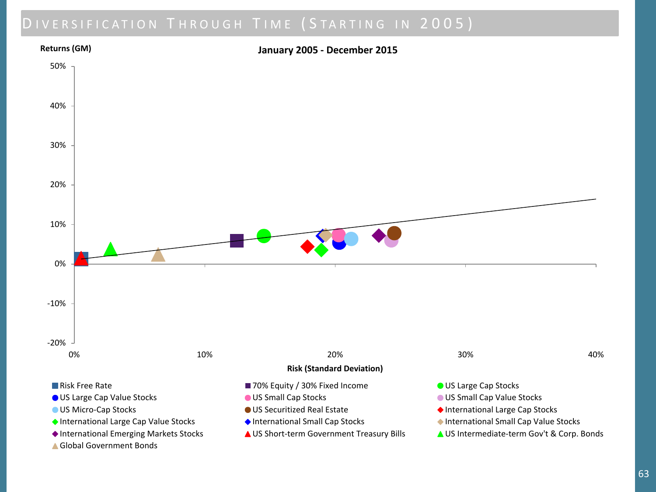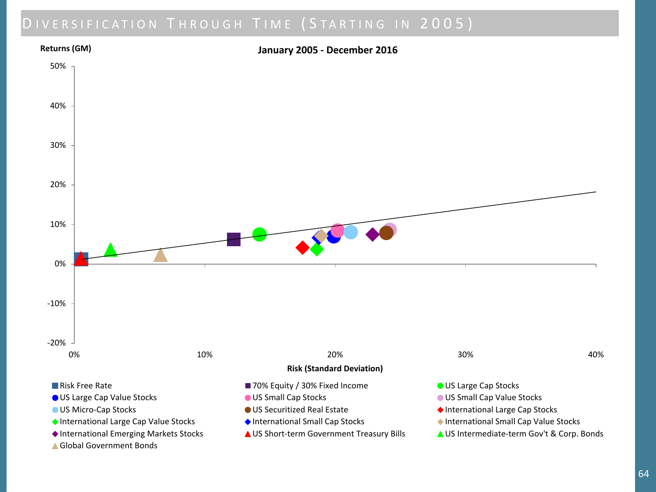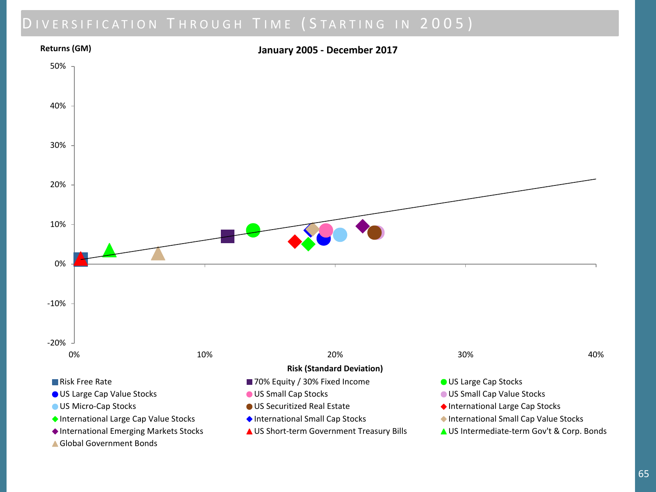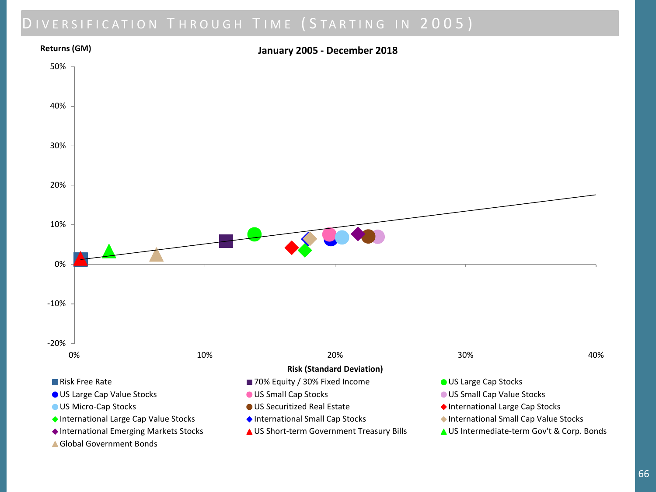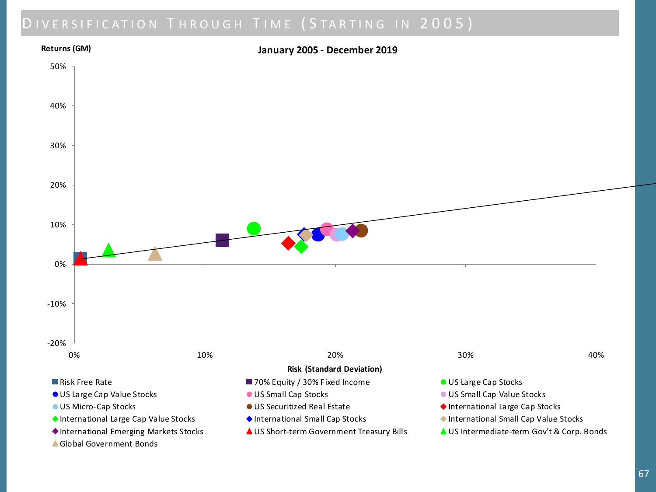

Global Government Bonds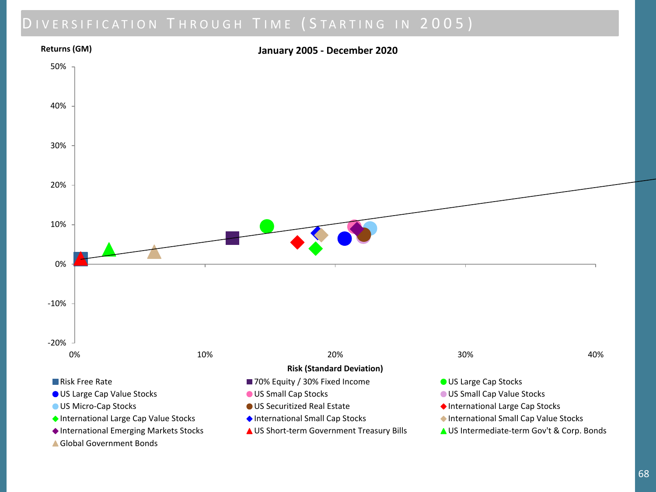

▲ Global Government Bonds

68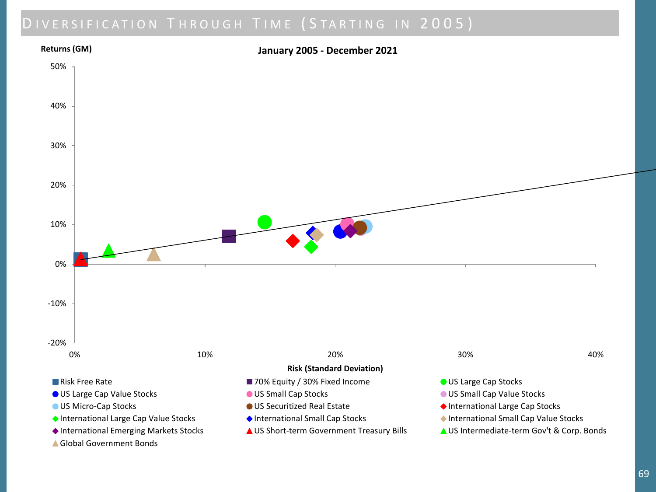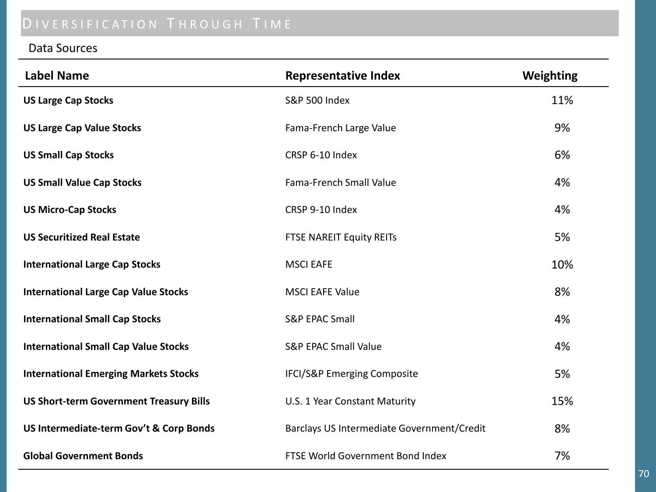# DIVERSIFICATION THROUGH TIME

#### Data Sources

| <b>Label Name</b>                              | <b>Representative Index</b>                | Weighting |
|------------------------------------------------|--------------------------------------------|-----------|
| <b>US Large Cap Stocks</b>                     | <b>S&amp;P 500 Index</b>                   | 11%       |
| <b>US Large Cap Value Stocks</b>               | Fama-French Large Value                    | 9%        |
| <b>US Small Cap Stocks</b>                     | CRSP 6-10 Index                            | 6%        |
| <b>US Small Value Cap Stocks</b>               | <b>Fama-French Small Value</b>             | 4%        |
| <b>US Micro-Cap Stocks</b>                     | CRSP 9-10 Index                            | 4%        |
| <b>US Securitized Real Estate</b>              | FTSE NAREIT Equity REITs                   | 5%        |
| <b>International Large Cap Stocks</b>          | <b>MSCI EAFE</b>                           | 10%       |
| <b>International Large Cap Value Stocks</b>    | <b>MSCI EAFE Value</b>                     | 8%        |
| <b>International Small Cap Stocks</b>          | <b>S&amp;P EPAC Small</b>                  | 4%        |
| <b>International Small Cap Value Stocks</b>    | <b>S&amp;P EPAC Small Value</b>            | 4%        |
| <b>International Emerging Markets Stocks</b>   | <b>IFCI/S&amp;P Emerging Composite</b>     | 5%        |
| <b>US Short-term Government Treasury Bills</b> | U.S. 1 Year Constant Maturity              | 15%       |
| US Intermediate-term Gov't & Corp Bonds        | Barclays US Intermediate Government/Credit | 8%        |
| <b>Global Government Bonds</b>                 | FTSE World Government Bond Index           | 7%        |